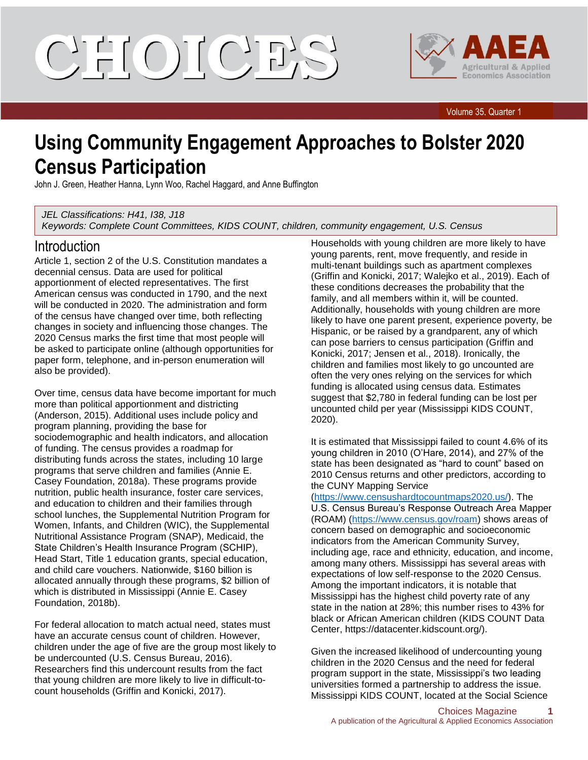CIELOILCIE'S



Volume 35, Quarter 1

# **Using Community Engagement Approaches to Bolster 2020 Census Participation**

John J. Green, Heather Hanna, Lynn Woo, Rachel Haggard, and Anne Buffington

*JEL Classifications: H41, I38, J18 Keywords: Complete Count Committees, KIDS COUNT, children, community engagement, U.S. Census*

#### Introduction

Article 1, section 2 of the U.S. Constitution mandates a decennial census. Data are used for political apportionment of elected representatives. The first American census was conducted in 1790, and the next will be conducted in 2020. The administration and form of the census have changed over time, both reflecting changes in society and influencing those changes. The 2020 Census marks the first time that most people will be asked to participate online (although opportunities for paper form, telephone, and in-person enumeration will also be provided).

Over time, census data have become important for much more than political apportionment and districting (Anderson, 2015). Additional uses include policy and program planning, providing the base for sociodemographic and health indicators, and allocation of funding. The census provides a roadmap for distributing funds across the states, including 10 large programs that serve children and families (Annie E. Casey Foundation, 2018a). These programs provide nutrition, public health insurance, foster care services, and education to children and their families through school lunches, the Supplemental Nutrition Program for Women, Infants, and Children (WIC), the Supplemental Nutritional Assistance Program (SNAP), Medicaid, the State Children's Health Insurance Program (SCHIP), Head Start, Title 1 education grants, special education, and child care vouchers. Nationwide, \$160 billion is allocated annually through these programs, \$2 billion of which is distributed in Mississippi (Annie E. Casey Foundation, 2018b).

For federal allocation to match actual need, states must have an accurate census count of children. However, children under the age of five are the group most likely to be undercounted (U.S. Census Bureau, 2016). Researchers find this undercount results from the fact that young children are more likely to live in difficult-tocount households (Griffin and Konicki, 2017).

Households with young children are more likely to have young parents, rent, move frequently, and reside in multi-tenant buildings such as apartment complexes (Griffin and Konicki, 2017; Walejko et al., 2019). Each of these conditions decreases the probability that the family, and all members within it, will be counted. Additionally, households with young children are more likely to have one parent present, experience poverty, be Hispanic, or be raised by a grandparent, any of which can pose barriers to census participation (Griffin and Konicki, 2017; Jensen et al., 2018). Ironically, the children and families most likely to go uncounted are often the very ones relying on the services for which funding is allocated using census data. Estimates suggest that \$2,780 in federal funding can be lost per uncounted child per year (Mississippi KIDS COUNT, 2020).

It is estimated that Mississippi failed to count 4.6% of its young children in 2010 (O'Hare, 2014), and 27% of the state has been designated as "hard to count" based on 2010 Census returns and other predictors, according to the CUNY Mapping Service

[\(https://www.censushardtocountmaps2020.us/\)](https://www.censushardtocountmaps2020.us/). The U.S. Census Bureau's Response Outreach Area Mapper (ROAM) [\(https://www.census.gov/roam\)](https://www.census.gov/roam) shows areas of concern based on demographic and socioeconomic indicators from the American Community Survey, including age, race and ethnicity, education, and income, among many others. Mississippi has several areas with expectations of low self-response to the 2020 Census. Among the important indicators, it is notable that Mississippi has the highest child poverty rate of any state in the nation at 28%; this number rises to 43% for black or African American children (KIDS COUNT Data Center, https://datacenter.kidscount.org/).

Given the increased likelihood of undercounting young children in the 2020 Census and the need for federal program support in the state, Mississippi's two leading universities formed a partnership to address the issue. Mississippi KIDS COUNT, located at the Social Science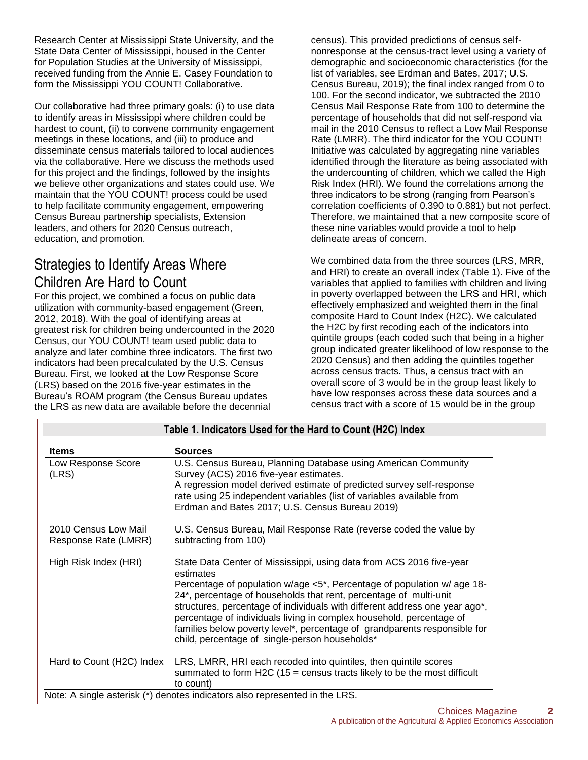Research Center at Mississippi State University, and the State Data Center of Mississippi, housed in the Center for Population Studies at the University of Mississippi, received funding from the Annie E. Casey Foundation to form the Mississippi YOU COUNT! Collaborative.

Our collaborative had three primary goals: (i) to use data to identify areas in Mississippi where children could be hardest to count, (ii) to convene community engagement meetings in these locations, and (iii) to produce and disseminate census materials tailored to local audiences via the collaborative. Here we discuss the methods used for this project and the findings, followed by the insights we believe other organizations and states could use. We maintain that the YOU COUNT! process could be used to help facilitate community engagement, empowering Census Bureau partnership specialists, Extension leaders, and others for 2020 Census outreach, education, and promotion.

## Strategies to Identify Areas Where Children Are Hard to Count

For this project, we combined a focus on public data utilization with community-based engagement (Green, 2012, 2018). With the goal of identifying areas at greatest risk for children being undercounted in the 2020 Census, our YOU COUNT! team used public data to analyze and later combine three indicators. The first two indicators had been precalculated by the U.S. Census Bureau. First, we looked at the Low Response Score (LRS) based on the 2016 five-year estimates in the Bureau's ROAM program (the Census Bureau updates the LRS as new data are available before the decennial

census). This provided predictions of census selfnonresponse at the census-tract level using a variety of demographic and socioeconomic characteristics (for the list of variables, see Erdman and Bates, 2017; U.S. Census Bureau, 2019); the final index ranged from 0 to 100. For the second indicator, we subtracted the 2010 Census Mail Response Rate from 100 to determine the percentage of households that did not self-respond via mail in the 2010 Census to reflect a Low Mail Response Rate (LMRR). The third indicator for the YOU COUNT! Initiative was calculated by aggregating nine variables identified through the literature as being associated with the undercounting of children, which we called the High Risk Index (HRI). We found the correlations among the three indicators to be strong (ranging from Pearson's correlation coefficients of 0.390 to 0.881) but not perfect. Therefore, we maintained that a new composite score of these nine variables would provide a tool to help delineate areas of concern.

We combined data from the three sources (LRS, MRR, and HRI) to create an overall index (Table 1). Five of the variables that applied to families with children and living in poverty overlapped between the LRS and HRI, which effectively emphasized and weighted them in the final composite Hard to Count Index (H2C). We calculated the H2C by first recoding each of the indicators into quintile groups (each coded such that being in a higher group indicated greater likelihood of low response to the 2020 Census) and then adding the quintiles together across census tracts. Thus, a census tract with an overall score of 3 would be in the group least likely to have low responses across these data sources and a census tract with a score of 15 would be in the group

| Table 1. Indicators Used for the Hard to Count (H2C) Index |                                                                                                                                                                                                                                                                                                                                                                                                                                                                                                                         |  |
|------------------------------------------------------------|-------------------------------------------------------------------------------------------------------------------------------------------------------------------------------------------------------------------------------------------------------------------------------------------------------------------------------------------------------------------------------------------------------------------------------------------------------------------------------------------------------------------------|--|
| <b>Items</b>                                               | <b>Sources</b>                                                                                                                                                                                                                                                                                                                                                                                                                                                                                                          |  |
| Low Response Score<br>(LRS)                                | U.S. Census Bureau, Planning Database using American Community<br>Survey (ACS) 2016 five-year estimates.<br>A regression model derived estimate of predicted survey self-response<br>rate using 25 independent variables (list of variables available from<br>Erdman and Bates 2017; U.S. Census Bureau 2019)                                                                                                                                                                                                           |  |
| 2010 Census Low Mail<br>Response Rate (LMRR)               | U.S. Census Bureau, Mail Response Rate (reverse coded the value by<br>subtracting from 100)                                                                                                                                                                                                                                                                                                                                                                                                                             |  |
| High Risk Index (HRI)                                      | State Data Center of Mississippi, using data from ACS 2016 five-year<br>estimates<br>Percentage of population w/age <5*, Percentage of population w/ age 18-<br>24*, percentage of households that rent, percentage of multi-unit<br>structures, percentage of individuals with different address one year ago*,<br>percentage of individuals living in complex household, percentage of<br>families below poverty level*, percentage of grandparents responsible for<br>child, percentage of single-person households* |  |
|                                                            | Hard to Count (H2C) Index LRS, LMRR, HRI each recoded into quintiles, then quintile scores<br>summated to form H2C (15 = census tracts likely to be the most difficult<br>to count)                                                                                                                                                                                                                                                                                                                                     |  |
|                                                            | Note: A single asterisk (*) denotes indicators also represented in the LRS.                                                                                                                                                                                                                                                                                                                                                                                                                                             |  |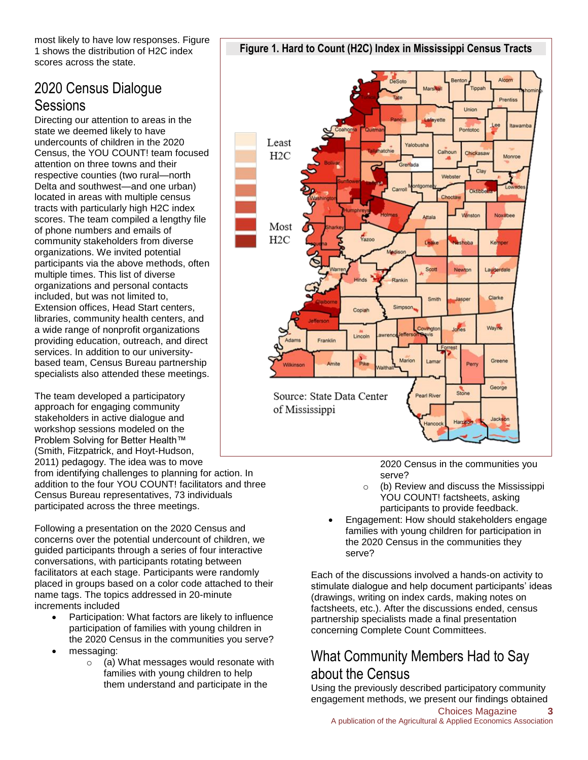most likely to have low responses. Figure 1 shows the distribution of H2C index scores across the state.

### 2020 Census Dialogue **Sessions**

Directing our attention to areas in the state we deemed likely to have undercounts of children in the 2020 Census, the YOU COUNT! team focused attention on three towns and their respective counties (two rural—north Delta and southwest—and one urban) located in areas with multiple census tracts with particularly high H2C index scores. The team compiled a lengthy file of phone numbers and emails of community stakeholders from diverse organizations. We invited potential participants via the above methods, often multiple times. This list of diverse organizations and personal contacts included, but was not limited to, Extension offices, Head Start centers, libraries, community health centers, and a wide range of nonprofit organizations providing education, outreach, and direct services. In addition to our universitybased team, Census Bureau partnership specialists also attended these meetings.

The team developed a participatory approach for engaging community stakeholders in active dialogue and workshop sessions modeled on the Problem Solving for Better Health™ (Smith, Fitzpatrick, and Hoyt-Hudson, 2011) pedagogy. The idea was to move

from identifying challenges to planning for action. In addition to the four YOU COUNT! facilitators and three Census Bureau representatives, 73 individuals participated across the three meetings.

Following a presentation on the 2020 Census and concerns over the potential undercount of children, we guided participants through a series of four interactive conversations, with participants rotating between facilitators at each stage. Participants were randomly placed in groups based on a color code attached to their name tags. The topics addressed in 20-minute increments included

- Participation: What factors are likely to influence participation of families with young children in the 2020 Census in the communities you serve?
- messaging:
	- o (a) What messages would resonate with families with young children to help them understand and participate in the





2020 Census in the communities you serve?

- o (b) Review and discuss the Mississippi YOU COUNT! factsheets, asking participants to provide feedback.
- Engagement: How should stakeholders engage families with young children for participation in the 2020 Census in the communities they serve?

Each of the discussions involved a hands-on activity to stimulate dialogue and help document participants' ideas (drawings, writing on index cards, making notes on factsheets, etc.). After the discussions ended, census partnership specialists made a final presentation concerning Complete Count Committees.

## What Community Members Had to Say about the Census

Using the previously described participatory community engagement methods, we present our findings obtained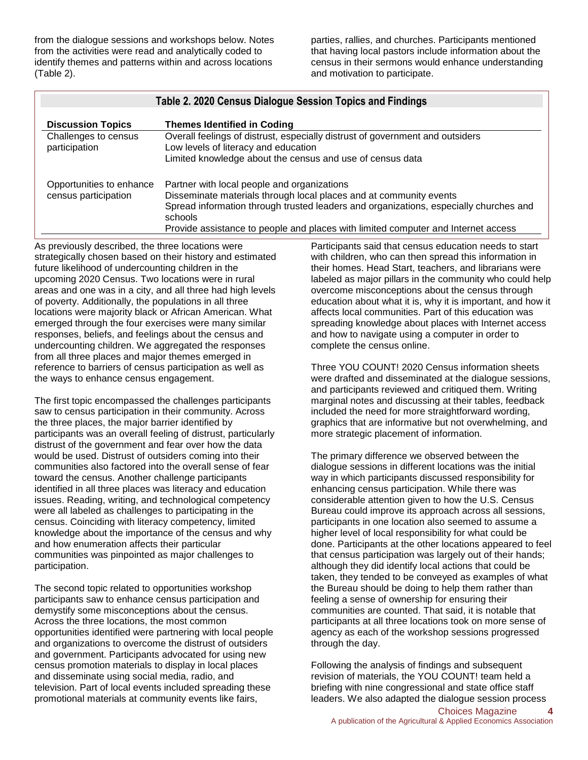from the dialogue sessions and workshops below. Notes from the activities were read and analytically coded to identify themes and patterns within and across locations (Table 2).

parties, rallies, and churches. Participants mentioned that having local pastors include information about the census in their sermons would enhance understanding and motivation to participate.

| Table 2. 2020 Census Dialogue Session Topics and Findings |                                                                                                                                                                                                                       |
|-----------------------------------------------------------|-----------------------------------------------------------------------------------------------------------------------------------------------------------------------------------------------------------------------|
| <b>Discussion Topics</b><br>Challenges to census          | <b>Themes Identified in Coding</b><br>Overall feelings of distrust, especially distrust of government and outsiders                                                                                                   |
| participation                                             | Low levels of literacy and education<br>Limited knowledge about the census and use of census data                                                                                                                     |
| Opportunities to enhance<br>census participation          | Partner with local people and organizations<br>Disseminate materials through local places and at community events<br>Spread information through trusted leaders and organizations, especially churches and<br>schools |
|                                                           | Provide assistance to people and places with limited computer and Internet access                                                                                                                                     |

As previously described, the three locations were strategically chosen based on their history and estimated future likelihood of undercounting children in the upcoming 2020 Census. Two locations were in rural areas and one was in a city, and all three had high levels of poverty. Additionally, the populations in all three locations were majority black or African American. What emerged through the four exercises were many similar responses, beliefs, and feelings about the census and undercounting children. We aggregated the responses from all three places and major themes emerged in reference to barriers of census participation as well as the ways to enhance census engagement.

The first topic encompassed the challenges participants saw to census participation in their community. Across the three places, the major barrier identified by participants was an overall feeling of distrust, particularly distrust of the government and fear over how the data would be used. Distrust of outsiders coming into their communities also factored into the overall sense of fear toward the census. Another challenge participants identified in all three places was literacy and education issues. Reading, writing, and technological competency were all labeled as challenges to participating in the census. Coinciding with literacy competency, limited knowledge about the importance of the census and why and how enumeration affects their particular communities was pinpointed as major challenges to participation.

The second topic related to opportunities workshop participants saw to enhance census participation and demystify some misconceptions about the census. Across the three locations, the most common opportunities identified were partnering with local people and organizations to overcome the distrust of outsiders and government. Participants advocated for using new census promotion materials to display in local places and disseminate using social media, radio, and television. Part of local events included spreading these promotional materials at community events like fairs,

Participants said that census education needs to start with children, who can then spread this information in their homes. Head Start, teachers, and librarians were labeled as major pillars in the community who could help overcome misconceptions about the census through education about what it is, why it is important, and how it affects local communities. Part of this education was spreading knowledge about places with Internet access and how to navigate using a computer in order to complete the census online.

Three YOU COUNT! 2020 Census information sheets were drafted and disseminated at the dialogue sessions, and participants reviewed and critiqued them. Writing marginal notes and discussing at their tables, feedback included the need for more straightforward wording, graphics that are informative but not overwhelming, and more strategic placement of information.

The primary difference we observed between the dialogue sessions in different locations was the initial way in which participants discussed responsibility for enhancing census participation. While there was considerable attention given to how the U.S. Census Bureau could improve its approach across all sessions, participants in one location also seemed to assume a higher level of local responsibility for what could be done. Participants at the other locations appeared to feel that census participation was largely out of their hands; although they did identify local actions that could be taken, they tended to be conveyed as examples of what the Bureau should be doing to help them rather than feeling a sense of ownership for ensuring their communities are counted. That said, it is notable that participants at all three locations took on more sense of agency as each of the workshop sessions progressed through the day.

Following the analysis of findings and subsequent revision of materials, the YOU COUNT! team held a briefing with nine congressional and state office staff leaders. We also adapted the dialogue session process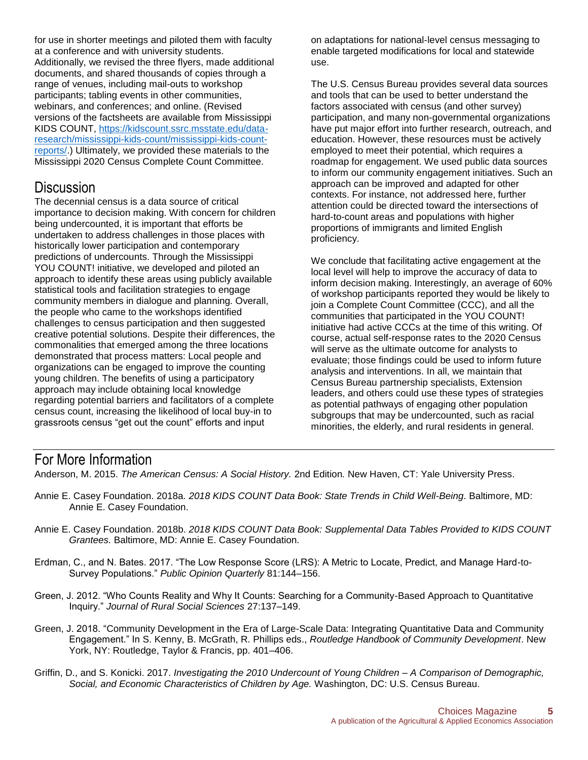for use in shorter meetings and piloted them with faculty at a conference and with university students. Additionally, we revised the three flyers, made additional documents, and shared thousands of copies through a range of venues, including mail-outs to workshop participants; tabling events in other communities, webinars, and conferences; and online. (Revised versions of the factsheets are available from Mississippi KIDS COUNT, [https://kidscount.ssrc.msstate.edu/data](https://kidscount.ssrc.msstate.edu/data-research/mississippi-kids-count/mississippi-kids-count-reports/)[research/mississippi-kids-count/mississippi-kids-count](https://kidscount.ssrc.msstate.edu/data-research/mississippi-kids-count/mississippi-kids-count-reports/)[reports/.](https://kidscount.ssrc.msstate.edu/data-research/mississippi-kids-count/mississippi-kids-count-reports/)) Ultimately, we provided these materials to the Mississippi 2020 Census Complete Count Committee.

#### **Discussion**

The decennial census is a data source of critical importance to decision making. With concern for children being undercounted, it is important that efforts be undertaken to address challenges in those places with historically lower participation and contemporary predictions of undercounts. Through the Mississippi YOU COUNT! initiative, we developed and piloted an approach to identify these areas using publicly available statistical tools and facilitation strategies to engage community members in dialogue and planning. Overall, the people who came to the workshops identified challenges to census participation and then suggested creative potential solutions. Despite their differences, the commonalities that emerged among the three locations demonstrated that process matters: Local people and organizations can be engaged to improve the counting young children. The benefits of using a participatory approach may include obtaining local knowledge regarding potential barriers and facilitators of a complete census count, increasing the likelihood of local buy-in to grassroots census "get out the count" efforts and input

on adaptations for national-level census messaging to enable targeted modifications for local and statewide use.

The U.S. Census Bureau provides several data sources and tools that can be used to better understand the factors associated with census (and other survey) participation, and many non-governmental organizations have put major effort into further research, outreach, and education. However, these resources must be actively employed to meet their potential, which requires a roadmap for engagement. We used public data sources to inform our community engagement initiatives. Such an approach can be improved and adapted for other contexts. For instance, not addressed here, further attention could be directed toward the intersections of hard-to-count areas and populations with higher proportions of immigrants and limited English proficiency.

We conclude that facilitating active engagement at the local level will help to improve the accuracy of data to inform decision making. Interestingly, an average of 60% of workshop participants reported they would be likely to join a Complete Count Committee (CCC), and all the communities that participated in the YOU COUNT! initiative had active CCCs at the time of this writing. Of course, actual self-response rates to the 2020 Census will serve as the ultimate outcome for analysts to evaluate; those findings could be used to inform future analysis and interventions. In all, we maintain that Census Bureau partnership specialists, Extension leaders, and others could use these types of strategies as potential pathways of engaging other population subgroups that may be undercounted, such as racial minorities, the elderly, and rural residents in general.

#### For More Information

Anderson, M. 2015. *The American Census: A Social History.* 2nd Edition*.* New Haven, CT: Yale University Press.

- Annie E. Casey Foundation. 2018a. *2018 KIDS COUNT Data Book: State Trends in Child Well-Being*. Baltimore, MD: Annie E. Casey Foundation.
- Annie E. Casey Foundation. 2018b. *2018 KIDS COUNT Data Book: Supplemental Data Tables Provided to KIDS COUNT Grantees.* Baltimore, MD: Annie E. Casey Foundation.
- Erdman, C., and N. Bates. 2017. "The Low Response Score (LRS): A Metric to Locate, Predict, and Manage Hard-to-Survey Populations." *Public Opinion Quarterly* 81:144–156.
- Green, J. 2012. "Who Counts Reality and Why It Counts: Searching for a Community-Based Approach to Quantitative Inquiry." *Journal of Rural Social Sciences* 27:137–149.
- Green, J. 2018. "Community Development in the Era of Large-Scale Data: Integrating Quantitative Data and Community Engagement." In S. Kenny, B. McGrath, R. Phillips eds., *Routledge Handbook of Community Development*. New York, NY: Routledge, Taylor & Francis, pp. 401–406.
- Griffin, D., and S. Konicki. 2017. *Investigating the 2010 Undercount of Young Children – A Comparison of Demographic, Social, and Economic Characteristics of Children by Age.* Washington, DC: U.S. Census Bureau.